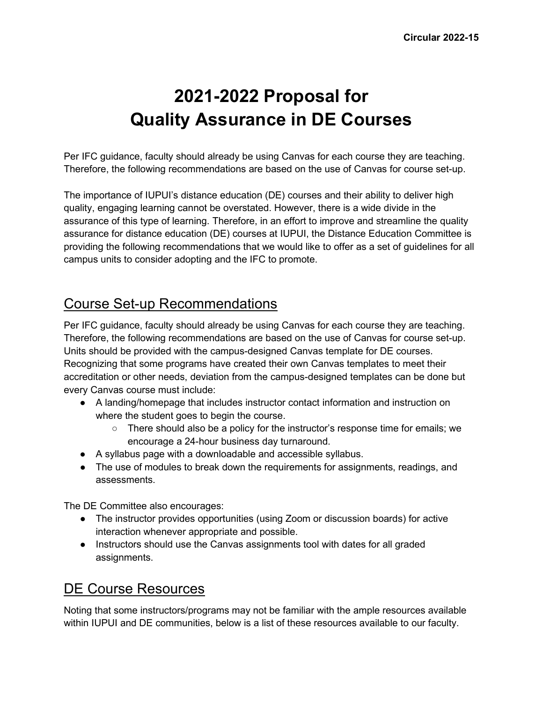# **2021-2022 Proposal for Quality Assurance in DE Courses**

Per IFC guidance, faculty should already be using Canvas for each course they are teaching. Therefore, the following recommendations are based on the use of Canvas for course set-up.

The importance of IUPUI's distance education (DE) courses and their ability to deliver high quality, engaging learning cannot be overstated. However, there is a wide divide in the assurance of this type of learning. Therefore, in an effort to improve and streamline the quality assurance for distance education (DE) courses at IUPUI, the Distance Education Committee is providing the following recommendations that we would like to offer as a set of guidelines for all campus units to consider adopting and the IFC to promote.

# Course Set-up Recommendations

Per IFC guidance, faculty should already be using Canvas for each course they are teaching. Therefore, the following recommendations are based on the use of Canvas for course set-up. Units should be provided with the campus-designed Canvas template for DE courses. Recognizing that some programs have created their own Canvas templates to meet their accreditation or other needs, deviation from the campus-designed templates can be done but every Canvas course must include:

- A landing/homepage that includes instructor contact information and instruction on where the student goes to begin the course.
	- There should also be a policy for the instructor's response time for emails; we encourage a 24-hour business day turnaround.
- A syllabus page with a downloadable and accessible syllabus.
- The use of modules to break down the requirements for assignments, readings, and assessments.

The DE Committee also encourages:

- The instructor provides opportunities (using Zoom or discussion boards) for active interaction whenever appropriate and possible.
- Instructors should use the Canvas assignments tool with dates for all graded assignments.

# DE Course Resources

Noting that some instructors/programs may not be familiar with the ample resources available within IUPUI and DE communities, below is a list of these resources available to our faculty.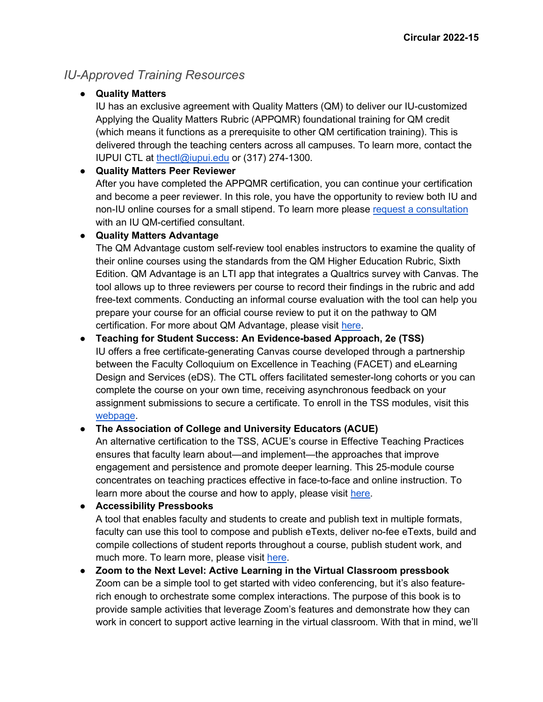## *IU-Approved Training Resources*

#### ● **Quality Matters**

IU has an exclusive agreement with Quality Matters (QM) to deliver our IU-customized Applying the Quality Matters Rubric (APPQMR) foundational training for QM credit (which means it functions as a prerequisite to other QM certification training). This is delivered through the teaching centers across all campuses. To learn more, contact the IUPUI CTL at [thectl@iupui.edu](mailto:thectl@iupui.edu) or (317) 274-1300.

#### ● **Quality Matters Peer Reviewer**

After you have completed the APPQMR certification, you can continue your certification and become a peer reviewer. In this role, you have the opportunity to review both IU and non-IU online courses for a small stipend. To learn more please [request a consultation](https://ctl.iupui.edu/Services/Consultations) with an IU QM-certified consultant.

#### ● **Quality Matters Advantage**

The QM Advantage custom self-review tool enables instructors to examine the quality of their online courses using the standards from the QM Higher Education Rubric, Sixth Edition. QM Advantage is an LTI app that integrates a Qualtrics survey with Canvas. The tool allows up to three reviewers per course to record their findings in the rubric and add free-text comments. Conducting an informal course evaluation with the tool can help you prepare your course for an official course review to put it on the pathway to QM certification. For more about QM Advantage, please visit [here.](https://kb.iu.edu/d/bhir)

● **Teaching for Student Success: An Evidence-based Approach, 2e (TSS)** IU offers a free certificate-generating Canvas course developed through a partnership between the Faculty Colloquium on Excellence in Teaching (FACET) and eLearning Design and Services (eDS). The CTL offers facilitated semester-long cohorts or you can complete the course on your own time, receiving asynchronous feedback on your assignment submissions to secure a certificate. To enroll in the TSS modules, visit this [webpage.](https://expand.iu.edu/courses/teaching-for-student-success-an-evidence-based-approach)

#### ● **The Association of College and University Educators (ACUE)**

An alternative certification to the TSS, ACUE's course in Effective Teaching Practices ensures that faculty learn about—and implement—the approaches that improve engagement and persistence and promote deeper learning. This 25-module course concentrates on teaching practices effective in face-to-face and online instruction. To learn more about the course and how to apply, please visit [here.](https://academicaffairs.iupui.edu/Strategic-Initiatives/Course-in-Effective-Teaching-Practices)

● **Accessibility Pressbooks** A tool that enables faculty and students to create and publish text in multiple formats, faculty can use this tool to compose and publish eTexts, deliver no-fee eTexts, build and compile collections of student reports throughout a course, publish student work, and much more. To learn more, please visit [here.](https://iu.pressbooks.pub/)

● **Zoom to the Next Level: Active Learning in the Virtual Classroom pressbook** Zoom can be a simple tool to get started with video conferencing, but it's also featurerich enough to orchestrate some complex interactions. The purpose of this book is to provide sample activities that leverage Zoom's features and demonstrate how they can work in concert to support active learning in the virtual classroom. With that in mind, we'll